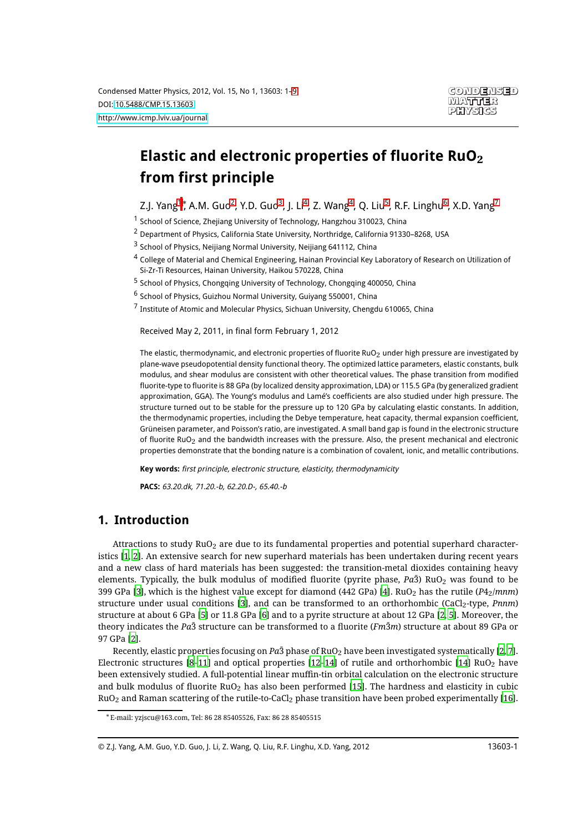# **Elastic and electronic properties of fluorite RuO2 from first principle**

<span id="page-0-0"></span>Z.J. Yang<sup>[1](#page-0-0)</sup>\*, A.M. Guo<sup>[2](#page-0-1)</sup>, Y.D. Guo<sup>[3](#page-0-2)</sup>,J. L[i](#page-0-3)<sup>[4](#page-0-3)</sup>, Z. Wang<sup>4</sup>, Q. Liu<sup>[5](#page-0-4)</sup>, R.F. Linghu<sup>[6](#page-0-5)</sup>, X.D. Yang<sup>[7](#page-0-6)</sup>

<span id="page-0-1"></span><sup>1</sup> School of Science, Zhejiang University of Technology, Hangzhou 310023, China

<span id="page-0-2"></span><sup>2</sup> Department of Physics, California State University, Northridge, California 91330–8268, USA

<span id="page-0-3"></span><sup>3</sup> School of Physics, Neijiang Normal University, Neijiang 641112, China

<sup>4</sup> College of Material and Chemical Engineering, Hainan Provincial Key Laboratory of Research on Utilization of Si-Zr-Ti Resources, Hainan University, Haikou 570228, China

<span id="page-0-5"></span><span id="page-0-4"></span><sup>5</sup> School of Physics, Chongqing University of Technology, Chongqing 400050, China

<span id="page-0-6"></span><sup>6</sup> School of Physics, Guizhou Normal University, Guiyang 550001, China

 $^7$  Institute of Atomic and Molecular Physics, Sichuan University, Chengdu 610065, China

Received May 2, 2011, in final form February 1, 2012

The elastic, thermodynamic, and electronic properties of fluorite RuO<sub>2</sub> under high pressure are investigated by plane-wave pseudopotential density functional theory. The optimized lattice parameters, elastic constants, bulk modulus, and shear modulus are consistent with other theoretical values. The phase transition from modified fluorite-type to fluorite is 88 GPa (by localized density approximation, LDA) or 115.5 GPa (by generalized gradient approximation, GGA). The Young's modulus and Lamé's coefficients are also studied under high pressure. The structure turned out to be stable for the pressure up to 120 GPa by calculating elastic constants. In addition, the thermodynamic properties, including the Debye temperature, heat capacity, thermal expansion coefficient, Grüneisen parameter, and Poisson's ratio, are investigated. A small band gap is found in the electronic structure of fluorite  $RuO<sub>2</sub>$  and the bandwidth increases with the pressure. Also, the present mechanical and electronic properties demonstrate that the bonding nature is a combination of covalent, ionic, and metallic contributions.

**Key words:** first principle, electronic structure, elasticity, thermodynamicity

**PACS:** 63.20.dk, 71.20.-b, 62.20.D-, 65.40.-b

## **1. Introduction**

Attractions to study RuO<sub>2</sub> are due to its fundamental properties and potential superhard characteristics [\[1](#page-6-0), [2\]](#page-6-1). An extensive search for new superhard materials has been undertaken during recent years and a new class of hard materials has been suggested: the transition-metal dioxides containing heavy elements. Typically, the bulk modulus of modified fluorite (pyrite phase, *Pa*3) RuO<sub>2</sub> was found to be 399 GPa [\[3\]](#page-6-2), which is the highest value except for diamond (442 GPa) [\[4\]](#page-6-3). RuO<sub>2</sub> has the rutile (*P4*<sub>2</sub>/*mnm*) structure under usual conditions [\[3](#page-6-2)], and can be transformed to an orthorhombic (CaCl<sub>2</sub>-type, *Pnnm*) structure at about 6 GPa [\[5\]](#page-6-4) or 11.8 GPa [\[6\]](#page-6-5) and to a pyrite structure at about 12 GPa [\[2,](#page-6-1) [5](#page-6-4)]. Moreover, the theory indicates the Pa<sup>3</sup> structure can be transformed to a fluorite (*Fm*3 $m$ ) structure at about 89 GPa or 97 GPa [\[2](#page-6-1)].

Recently, elastic properties focusing on *Pa*3 phase of RuO<sub>2</sub> have been investigated systematically [\[2](#page-6-1), [7\]](#page-6-6). Electronic structures [\[8](#page-6-7)–[11](#page-7-0)] and optical properties [\[12](#page-7-1)–[14](#page-7-2)] of rutile and orthorhombic [\[14\]](#page-7-2)  $RuO<sub>2</sub>$  have been extensively studied. A full-potential linear muffin-tin orbital calculation on the electronic structure and bulk modulus of fluorite  $RuO<sub>2</sub>$  has also been performed [\[15\]](#page-7-3). The hardness and elasticity in cubic RuO<sub>2</sub> and Raman scattering of the rutile-to-CaCl<sub>2</sub> phase transition have been probed experimentally [\[16\]](#page-7-4).

© Z.J. Yang, A.M. Guo, Y.D. Guo, J. Li, Z. Wang, Q. Liu, R.F. Linghu, X.D. Yang, 2012 13603-1

<sup>∗</sup>E-mail: yzjscu@163.com, Tel: 86 28 85405526, Fax: 86 28 85405515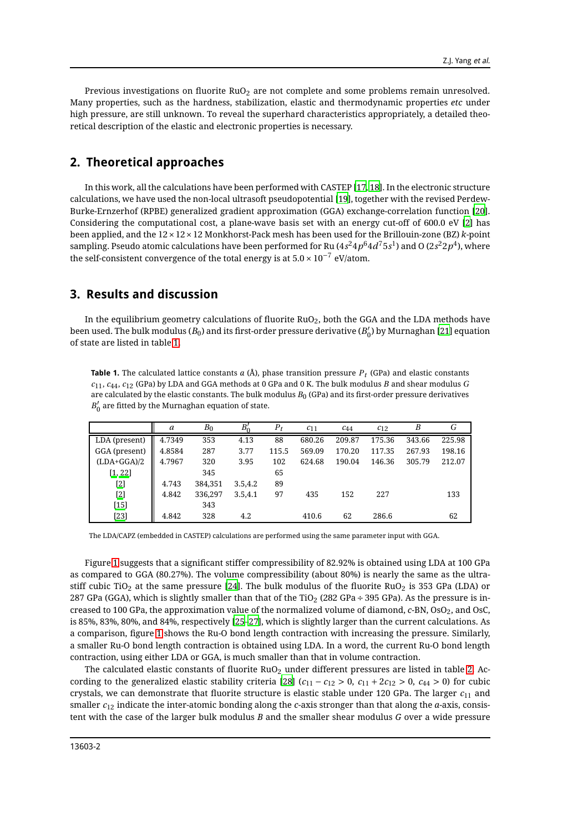Previous investigations on fluorite RuO<sub>2</sub> are not complete and some problems remain unresolved. Many properties, such as the hardness, stabilization, elastic and thermodynamic properties *etc* under high pressure, are still unknown. To reveal the superhard characteristics appropriately, a detailed theoretical description of the elastic and electronic properties is necessary.

#### **2. Theoretical approaches**

In this work, all the calculations have been performed with CASTEP [\[17](#page-7-5), [18\]](#page-7-6). In the electronic structure calculations, we have used the non-local ultrasoft pseudopotential [\[19\]](#page-7-7), together with the revised Perdew-Burke-Ernzerhof (RPBE) generalized gradient approximation (GGA) exchange-correlation function [\[20\]](#page-7-8). Considering the computational cost, a plane-wave basis set with an energy cut-off of 600.0 eV [\[2\]](#page-6-1) has been applied, and the 12×12×12 Monkhorst-Pack mesh has been used for the Brillouin-zone (BZ) *k*-point sampling. Pseudo atomic calculations have been performed for Ru (4 $s^2 4 p^6 4 d^7 5 s^1$ ) and O (2 $s^2 2 p^4$ ), where the self-consistent convergence of the total energy is at  $5.0 \times 10^{-7}$  eV/atom.

### **3. Results and discussion**

In the equilibrium geometry calculations of fluorite  $RuO<sub>2</sub>$ , both the GGA and the LDA methods have been used. The bulk modulus ( $\overline{B_0}$ ) and its first-order pressure derivative ( $B'_0$  $_0^{\prime}$ ) by Murnaghan [\[21\]](#page-7-9) equation of state are listed in table [1.](#page-1-0)

<span id="page-1-0"></span>**Table 1.** The calculated lattice constants *a* (Å), phase transition pressure *Pt* (GPa) and elastic constants *c*11, *c*44, *c*12 (GPa) by LDA and GGA methods at 0 GPa and 0 K. The bulk modulus *B* and shear modulus *G* are calculated by the elastic constants. The bulk modulus *B*<sub>0</sub> (GPa) and its first-order pressure derivatives  $B'_{c}$  $_0^{\prime}$  are fitted by the Murnaghan equation of state.

|               | a      | $B_0$   | B'      | $P_t$ | $c_{11}$ | $c_{44}$ | $c_{12}$ | B      | G      |
|---------------|--------|---------|---------|-------|----------|----------|----------|--------|--------|
| LDA (present) | 4.7349 | 353     | 4.13    | 88    | 680.26   | 209.87   | 175.36   | 343.66 | 225.98 |
| GGA (present) | 4.8584 | 287     | 3.77    | 115.5 | 569.09   | 170.20   | 117.35   | 267.93 | 198.16 |
| $(LDA+GGA)/2$ | 4.7967 | 320     | 3.95    | 102   | 624.68   | 190.04   | 146.36   | 305.79 | 212.07 |
| [1, 22]       |        | 345     |         | 65    |          |          |          |        |        |
| $[2]$         | 4.743  | 384,351 | 3.5,4.2 | 89    |          |          |          |        |        |
| $[2]$         | 4.842  | 336,297 | 3.5,4.1 | 97    | 435      | 152      | 227      |        | 133    |
| $[15]$        |        | 343     |         |       |          |          |          |        |        |
| $[23]$        | 4.842  | 328     | 4.2     |       | 410.6    | 62       | 286.6    |        | 62     |

The LDA/CAPZ (embedded in CASTEP) calculations are performed using the same parameter input with GGA.

Figure [1](#page-2-0) suggests that a significant stiffer compressibility of 82.92% is obtained using LDA at 100 GPa as compared to GGA (80.27%). The volume compressibility (about 80%) is nearly the same as the ultra-stiff cubic TiO<sub>2</sub> at the same pressure [\[24](#page-7-12)]. The bulk modulus of the fluorite RuO<sub>2</sub> is 353 GPa (LDA) or 287 GPa (GGA), which is slightly smaller than that of the TiO<sub>2</sub> (282 GPa  $\div$  395 GPa). As the pressure is increased to 100 GPa, the approximation value of the normalized volume of diamond, *c*-BN, OsO<sub>2</sub>, and OsC, is 85%, 83%, 80%, and 84%, respectively [\[25](#page-7-13)–[27](#page-7-14)], which is slightly larger than the current calculations. As a comparison, figure [1](#page-2-0) shows the Ru-O bond length contraction with increasing the pressure. Similarly, a smaller Ru-O bond length contraction is obtained using LDA. In a word, the current Ru-O bond length contraction, using either LDA or GGA, is much smaller than that in volume contraction.

The calculated elastic constants of fluorite  $RuO<sub>2</sub>$  under different pressures are listed in table [2.](#page-2-1) Ac-cording to the generalized elastic stability criteria [\[28\]](#page-7-15)  $(c_{11} - c_{12} > 0, c_{11} + 2c_{12} > 0, c_{44} > 0)$  for cubic crystals, we can demonstrate that fluorite structure is elastic stable under 120 GPa. The larger  $c_{11}$  and smaller *c*<sup>12</sup> indicate the inter-atomic bonding along the *c*-axis stronger than that along the *a*-axis, consistent with the case of the larger bulk modulus *B* and the smaller shear modulus *G* over a wide pressure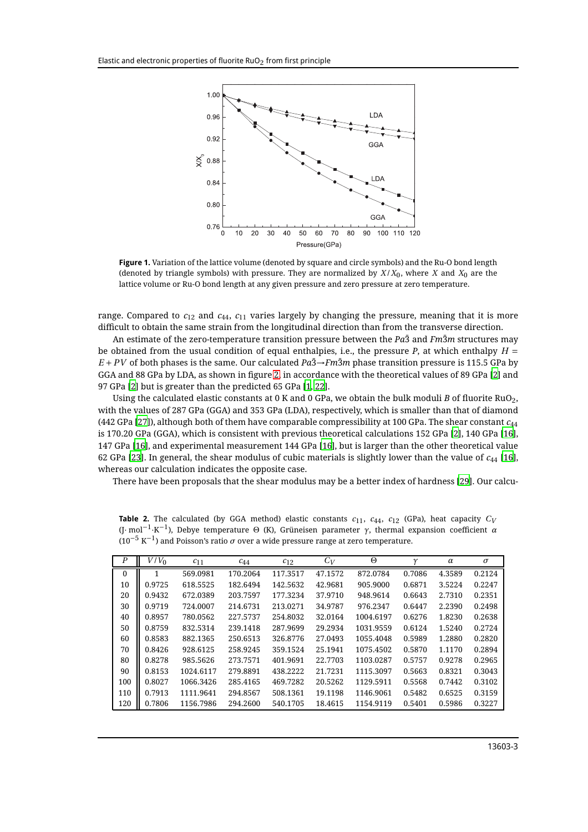

<span id="page-2-0"></span>**Figure 1.** Variation of the lattice volume (denoted by square and circle symbols) and the Ru-O bond length (denoted by triangle symbols) with pressure. They are normalized by  $X/X_0$ , where *X* and  $X_0$  are the lattice volume or Ru-O bond length at any given pressure and zero pressure at zero temperature.

range. Compared to  $c_{12}$  and  $c_{44}$ ,  $c_{11}$  varies largely by changing the pressure, meaning that it is more difficult to obtain the same strain from the longitudinal direction than from the transverse direction.

An estimate of the zero-temperature transition pressure between the *Pa*3 and *Fm*3 $m$  structures may be obtained from the usual condition of equal enthalpies, i.e., the pressure  $P$ , at which enthalpy  $H =$  $E + PV$  of both phases is the same. Our calculated  $Pa\overline{3} \rightarrow Fm\overline{3}m$  phase transition pressure is 115.5 GPa by GGA and 88 GPa by LDA, as shown in figure [2,](#page-3-0) in accordance with the theoretical values of 89 GPa [\[2\]](#page-6-1) and 97 GPa [\[2](#page-6-1)] but is greater than the predicted 65 GPa [\[1,](#page-6-0) [22](#page-7-10)].

Using the calculated elastic constants at 0 K and 0 GPa, we obtain the bulk moduli *B* of fluorite RuO<sub>2</sub>, with the values of 287 GPa (GGA) and 353 GPa (LDA), respectively, which is smaller than that of diamond (442 GPa [\[27](#page-7-14)]), although both of them have comparable compressibility at 100 GPa. The shear constant *c*<sup>44</sup> is 170.20 GPa (GGA), which is consistent with previous theoretical calculations 152 GPa [\[2\]](#page-6-1), 140 GPa [\[16](#page-7-4)], 147 GPa [\[16\]](#page-7-4), and experimental measurement 144 GPa [\[16\]](#page-7-4), but is larger than the other theoretical value 62 GPa [\[23\]](#page-7-11). In general, the shear modulus of cubic materials is slightly lower than the value of *c*<sup>44</sup> [\[16](#page-7-4)], whereas our calculation indicates the opposite case.

There have been proposals that the shear modulus may be a better index of hardness [\[29\]](#page-7-16). Our calcu-

| $\boldsymbol{P}$ | $V/V_0$ | $c_{11}$  | $c_{44}$ | $c_{12}$ | $C_V$   | Θ         | $\gamma$ | $\alpha$ | $\sigma$ |
|------------------|---------|-----------|----------|----------|---------|-----------|----------|----------|----------|
| $\mathbf{0}$     | 1       | 569.0981  | 170.2064 | 117.3517 | 47.1572 | 872.0784  | 0.7086   | 4.3589   | 0.2124   |
| 10               | 0.9725  | 618.5525  | 182.6494 | 142.5632 | 42.9681 | 905.9000  | 0.6871   | 3.5224   | 0.2247   |
| 20               | 0.9432  | 672.0389  | 203.7597 | 177.3234 | 37.9710 | 948.9614  | 0.6643   | 2.7310   | 0.2351   |
| 30               | 0.9719  | 724.0007  | 214.6731 | 213.0271 | 34.9787 | 976.2347  | 0.6447   | 2.2390   | 0.2498   |
| 40               | 0.8957  | 780.0562  | 227.5737 | 254.8032 | 32.0164 | 1004.6197 | 0.6276   | 1.8230   | 0.2638   |
| 50               | 0.8759  | 832.5314  | 239.1418 | 287.9699 | 29.2934 | 1031.9559 | 0.6124   | 1.5240   | 0.2724   |
| 60               | 0.8583  | 882.1365  | 250.6513 | 326.8776 | 27.0493 | 1055.4048 | 0.5989   | 1.2880   | 0.2820   |
| 70               | 0.8426  | 928.6125  | 258.9245 | 359.1524 | 25.1941 | 1075.4502 | 0.5870   | 1.1170   | 0.2894   |
| 80               | 0.8278  | 985.5626  | 273.7571 | 401.9691 | 22.7703 | 1103.0287 | 0.5757   | 0.9278   | 0.2965   |
| 90               | 0.8153  | 1024.6117 | 279.8891 | 438.2222 | 21.7231 | 1115.3097 | 0.5663   | 0.8321   | 0.3043   |
| 100              | 0.8027  | 1066.3426 | 285.4165 | 469.7282 | 20.5262 | 1129.5911 | 0.5568   | 0.7442   | 0.3102   |
| 110              | 0.7913  | 1111.9641 | 294.8567 | 508.1361 | 19.1198 | 1146.9061 | 0.5482   | 0.6525   | 0.3159   |
| 120              | 0.7806  | 1156.7986 | 294.2600 | 540.1705 | 18.4615 | 1154.9119 | 0.5401   | 0.5986   | 0.3227   |
|                  |         |           |          |          |         |           |          |          |          |

<span id="page-2-1"></span>**Table 2.** The calculated (by GGA method) elastic constants *c*11, *c*44, *c*12 (GPa), heat capacity *CV* (J· mol−<sup>1</sup> ·K −1 ), Debye temperature Θ (K), Grüneisen parameter *γ*, thermal expansion coefficient *α*  $(10^{-5} \text{ K}^{-1})$  and Poisson's ratio  $\sigma$  over a wide pressure range at zero temperature.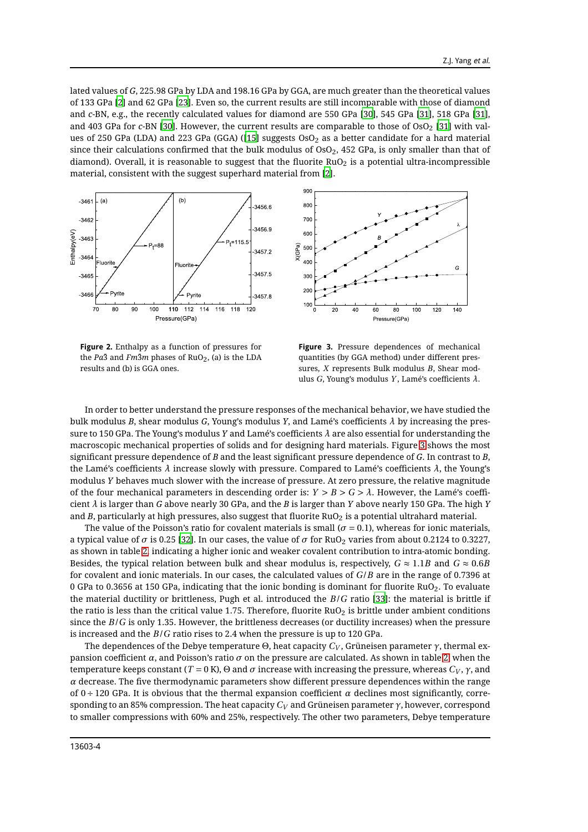lated values of *G*, 225.98 GPa by LDA and 198.16 GPa by GGA, are much greater than the theoretical values of 133 GPa [\[2](#page-6-1)] and 62 GPa [\[23](#page-7-11)]. Even so, the current results are still incomparable with those of diamond and *c*-BN, e.g., the recently calculated values for diamond are 550 GPa [\[30](#page-7-17)], 545 GPa [\[31](#page-7-18)], 518 GPa [\[31\]](#page-7-18), and 403 GPa for *c*-BN [\[30](#page-7-17)]. However, the current results are comparable to those of OsO<sub>2</sub> [\[31\]](#page-7-18) with val-uesof 250 GPa (LDA) and 223 GPa (GGA) ([\[15](#page-7-3)] suggests  $OsO<sub>2</sub>$  as a better candidate for a hard material since their calculations confirmed that the bulk modulus of  $OSO<sub>2</sub>$ , 452 GPa, is only smaller than that of diamond). Overall, it is reasonable to suggest that the fluorite  $RuO<sub>2</sub>$  is a potential ultra-incompressible material, consistent with the suggest superhard material from [\[2\]](#page-6-1).



<span id="page-3-0"></span>**Figure 2.** Enthalpy as a function of pressures for the  $Pa\bar{3}$  and  $Fm\bar{3}m$  phases of  $RuO<sub>2</sub>$ , (a) is the LDA results and (b) is GGA ones.



<span id="page-3-1"></span>**Figure 3.** Pressure dependences of mechanical quantities (by GGA method) under different pressures, *X* represents Bulk modulus *B*, Shear modulus *G*, Young's modulus *Y* , Lamé's coefficients *λ*.

In order to better understand the pressure responses of the mechanical behavior, we have studied the bulk modulus *B*, shear modulus *G*, Young's modulus *Y*, and Lamé's coefficients *λ* by increasing the pressure to 150 GPa. The Young's modulus *Y* and Lamé's coefficients *λ* are also essential for understanding the macroscopic mechanical properties of solids and for designing hard materials. Figure [3](#page-3-1) shows the most significant pressure dependence of *B* and the least significant pressure dependence of *G*. In contrast to *B*, the Lamé's coefficients *λ* increase slowly with pressure. Compared to Lamé's coefficients *λ*, the Young's modulus *Y* behaves much slower with the increase of pressure. At zero pressure, the relative magnitude of the four mechanical parameters in descending order is:  $Y > B > G > \lambda$ . However, the Lamé's coefficient *λ* is larger than *G* above nearly 30 GPa, and the *B* is larger than *Y* above nearly 150 GPa. The high *Y* and *B*, particularly at high pressures, also suggest that fluorite RuO<sub>2</sub> is a potential ultrahard material.

The value of the Poisson's ratio for covalent materials is small ( $\sigma$  = 0.1), whereas for ionic materials, a typical value of  $\sigma$  is 0.25 [\[32\]](#page-7-19). In our cases, the value of  $\sigma$  for RuO<sub>2</sub> varies from about 0.2124 to 0.3227, as shown in table [2,](#page-2-1) indicating a higher ionic and weaker covalent contribution to intra-atomic bonding. Besides, the typical relation between bulk and shear modulus is, respectively,  $G \approx 1.1B$  and  $G \approx 0.6B$ for covalent and ionic materials. In our cases, the calculated values of *G*/*B* are in the range of 0.7396 at 0 GPa to 0.3656 at 150 GPa, indicating that the ionic bonding is dominant for fluorite RuO<sub>2</sub>. To evaluate the material ductility or brittleness, Pugh et al. introduced the *B*/*G* ratio [\[33\]](#page-7-20): the material is brittle if the ratio is less than the critical value 1.75. Therefore, fluorite  $RuO<sub>2</sub>$  is brittle under ambient conditions since the *B*/*G* is only 1.35. However, the brittleness decreases (or ductility increases) when the pressure is increased and the *B*/*G* ratio rises to 2.4 when the pressure is up to 120 GPa.

The dependences of the Debye temperature Θ, heat capacity *C<sup>V</sup>* , Grüneisen parameter *γ*, thermal expansion coefficient *α*, and Poisson's ratio *σ* on the pressure are calculated. As shown in table [2,](#page-2-1) when the temperature keeps constant ( $T = 0$  K),  $\Theta$  and  $\sigma$  increase with increasing the pressure, whereas  $C_V$ ,  $\gamma$ , and *α* decrease. The five thermodynamic parameters show different pressure dependences within the range of  $0 \div 120$  GPa. It is obvious that the thermal expansion coefficient  $\alpha$  declines most significantly, corresponding to an 85% compression. The heat capacity *C<sup>V</sup>* and Grüneisen parameter *γ*, however, correspond to smaller compressions with 60% and 25%, respectively. The other two parameters, Debye temperature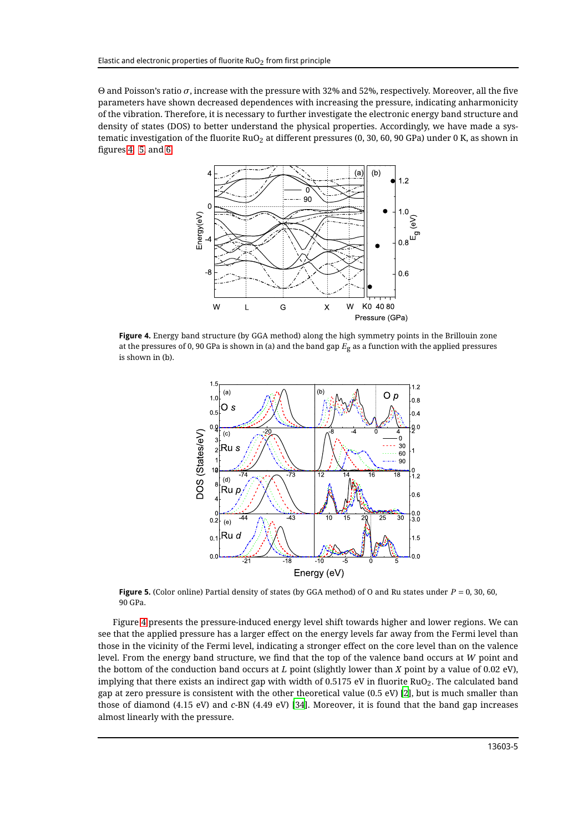Θ and Poisson's ratio *σ*, increase with the pressure with 32% and 52%, respectively. Moreover, all the five parameters have shown decreased dependences with increasing the pressure, indicating anharmonicity of the vibration. Therefore, it is necessary to further investigate the electronic energy band structure and density of states (DOS) to better understand the physical properties. Accordingly, we have made a systematic investigation of the fluorite  $RuO<sub>2</sub>$  at different pressures (0, 30, 60, 90 GPa) under 0 K, as shown in figures [4,](#page-4-0) [5,](#page-4-1) and [6.](#page-5-0)



<span id="page-4-0"></span>**Figure 4.** Energy band structure (by GGA method) along the high symmetry points in the Brillouin zone at the pressures of 0, 90 GPa is shown in (a) and the band gap *E*g as a function with the applied pressures is shown in (b).



<span id="page-4-1"></span>**Figure 5.** (Color online) Partial density of states (by GGA method) of O and Ru states under  $P = 0$ , 30, 60, 90 GPa.

Figure [4](#page-4-0) presents the pressure-induced energy level shift towards higher and lower regions. We can see that the applied pressure has a larger effect on the energy levels far away from the Fermi level than those in the vicinity of the Fermi level, indicating a stronger effect on the core level than on the valence level. From the energy band structure, we find that the top of the valence band occurs at *W* point and the bottom of the conduction band occurs at *L* point (slightly lower than *X* point by a value of 0.02 eV), implying that there exists an indirect gap with width of  $0.5175$  eV in fluorite RuO<sub>2</sub>. The calculated band gap at zero pressure is consistent with the other theoretical value (0.5 eV) [\[2](#page-6-1)], but is much smaller than those of diamond (4.15 eV) and *c*-BN (4.49 eV) [\[34](#page-7-21)]. Moreover, it is found that the band gap increases almost linearly with the pressure.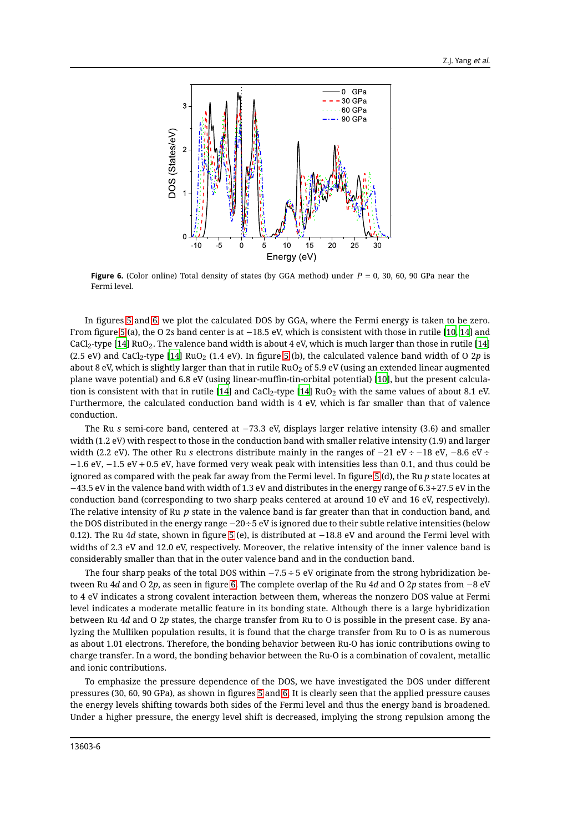

<span id="page-5-0"></span>**Figure 6.** (Color online) Total density of states (by GGA method) under  $P = 0$ , 30, 60, 90 GPa near the Fermi level.

In figures [5](#page-4-1) and [6,](#page-5-0) we plot the calculated DOS by GGA, where the Fermi energy is taken to be zero. From figure [5](#page-4-1) (a), the O 2*s* band center is at −18.5 eV, which is consistent with those in rutile [\[10](#page-7-22), [14](#page-7-2)] and CaCl<sub>2</sub>-type [\[14](#page-7-2)] RuO<sub>2</sub>. The valence band width is about 4 eV, which is much larger than those in rutile [\[14\]](#page-7-2) (2.5 eV) and CaCl<sub>2</sub>-type [\[14\]](#page-7-2) RuO<sub>2</sub> (1.4 eV). In figure [5](#page-4-1) (b), the calculated valence band width of O 2p is about 8 eV, which is slightly larger than that in rutile RuO<sub>2</sub> of 5.9 eV (using an extended linear augmented plane wave potential) and 6.8 eV (using linear-muffin-tin-orbital potential) [\[10\]](#page-7-22), but the present calcula-tion is consistent with that in rutile [\[14\]](#page-7-2) and CaCl<sub>2</sub>-type [\[14](#page-7-2)]  $RuO<sub>2</sub>$  with the same values of about 8.1 eV. Furthermore, the calculated conduction band width is 4 eV, which is far smaller than that of valence conduction.

The Ru *s* semi-core band, centered at −73.3 eV, displays larger relative intensity (3.6) and smaller width (1.2 eV) with respect to those in the conduction band with smaller relative intensity (1.9) and larger width (2.2 eV). The other Ru *s* electrons distribute mainly in the ranges of  $-21$  eV ÷  $-18$  eV,  $-8.6$  eV ÷ −1.6 eV, −1.5 eV ÷ 0.5 eV, have formed very weak peak with intensities less than 0.1, and thus could be ignored as compared with the peak far away from the Fermi level. In figure [5](#page-4-1) (d), the Ru *p* state locates at −43.5 eV in the valence band with width of 1.3 eV and distributes in the energy range of 6.3÷27.5 eV in the conduction band (corresponding to two sharp peaks centered at around 10 eV and 16 eV, respectively). The relative intensity of Ru *p* state in the valence band is far greater than that in conduction band, and the DOS distributed in the energy range −20÷5 eV is ignored due to their subtle relative intensities (below 0.12). The Ru 4*d* state, shown in figure [5](#page-4-1) (e), is distributed at −18.8 eV and around the Fermi level with widths of 2.3 eV and 12.0 eV, respectively. Moreover, the relative intensity of the inner valence band is considerably smaller than that in the outer valence band and in the conduction band.

The four sharp peaks of the total DOS within  $-7.5 \div 5$  eV originate from the strong hybridization between Ru 4*d* and O 2*p*, as seen in figure [6.](#page-5-0) The complete overlap of the Ru 4*d* and O 2*p* states from −8 eV to 4 eV indicates a strong covalent interaction between them, whereas the nonzero DOS value at Fermi level indicates a moderate metallic feature in its bonding state. Although there is a large hybridization between Ru 4*d* and O 2*p* states, the charge transfer from Ru to O is possible in the present case. By analyzing the Mulliken population results, it is found that the charge transfer from Ru to O is as numerous as about 1.01 electrons. Therefore, the bonding behavior between Ru-O has ionic contributions owing to charge transfer. In a word, the bonding behavior between the Ru-O is a combination of covalent, metallic and ionic contributions.

To emphasize the pressure dependence of the DOS, we have investigated the DOS under different pressures (30, 60, 90 GPa), as shown in figures [5](#page-4-1) and [6.](#page-5-0) It is clearly seen that the applied pressure causes the energy levels shifting towards both sides of the Fermi level and thus the energy band is broadened. Under a higher pressure, the energy level shift is decreased, implying the strong repulsion among the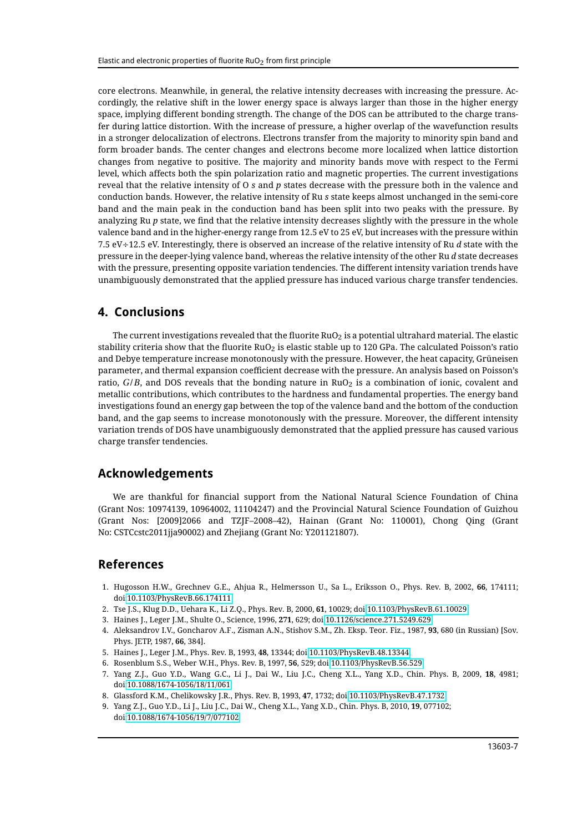core electrons. Meanwhile, in general, the relative intensity decreases with increasing the pressure. Accordingly, the relative shift in the lower energy space is always larger than those in the higher energy space, implying different bonding strength. The change of the DOS can be attributed to the charge transfer during lattice distortion. With the increase of pressure, a higher overlap of the wavefunction results in a stronger delocalization of electrons. Electrons transfer from the majority to minority spin band and form broader bands. The center changes and electrons become more localized when lattice distortion changes from negative to positive. The majority and minority bands move with respect to the Fermi level, which affects both the spin polarization ratio and magnetic properties. The current investigations reveal that the relative intensity of O *s* and *p* states decrease with the pressure both in the valence and conduction bands. However, the relative intensity of Ru *s* state keeps almost unchanged in the semi-core band and the main peak in the conduction band has been split into two peaks with the pressure. By analyzing Ru *p* state, we find that the relative intensity decreases slightly with the pressure in the whole valence band and in the higher-energy range from 12.5 eV to 25 eV, but increases with the pressure within 7.5 eV÷12.5 eV. Interestingly, there is observed an increase of the relative intensity of Ru *d* state with the pressure in the deeper-lying valence band, whereas the relative intensity of the other Ru *d* state decreases with the pressure, presenting opposite variation tendencies. The different intensity variation trends have unambiguously demonstrated that the applied pressure has induced various charge transfer tendencies.

#### **4. Conclusions**

The current investigations revealed that the fluorite  $RuO<sub>2</sub>$  is a potential ultrahard material. The elastic stability criteria show that the fluorite  $RuO<sub>2</sub>$  is elastic stable up to 120 GPa. The calculated Poisson's ratio and Debye temperature increase monotonously with the pressure. However, the heat capacity, Grüneisen parameter, and thermal expansion coefficient decrease with the pressure. An analysis based on Poisson's ratio,  $G/B$ , and DOS reveals that the bonding nature in  $RuO<sub>2</sub>$  is a combination of ionic, covalent and metallic contributions, which contributes to the hardness and fundamental properties. The energy band investigations found an energy gap between the top of the valence band and the bottom of the conduction band, and the gap seems to increase monotonously with the pressure. Moreover, the different intensity variation trends of DOS have unambiguously demonstrated that the applied pressure has caused various charge transfer tendencies.

#### **Acknowledgements**

We are thankful for financial support from the National Natural Science Foundation of China (Grant Nos: 10974139, 10964002, 11104247) and the Provincial Natural Science Foundation of Guizhou (Grant Nos: [2009]2066 and TZJF–2008–42), Hainan (Grant No: 110001), Chong Qing (Grant No: CSTCcstc2011jja90002) and Zhejiang (Grant No: Y201121807).

#### **References**

- <span id="page-6-0"></span>1. Hugosson H.W., Grechnev G.E., Ahjua R., Helmersson U., Sa L., Eriksson O., Phys. Rev. B, 2002, **66**, 174111; doi[:10.1103/PhysRevB.66.174111.](http://dx.doi.org/10.1103/PhysRevB.66.174111)
- <span id="page-6-1"></span>2. Tse J.S., Klug D.D., Uehara K., Li Z.Q., Phys. Rev. B, 2000, **61**, 10029; doi[:10.1103/PhysRevB.61.10029.](http://dx.doi.org/10.1103/PhysRevB.61.10029)
- <span id="page-6-2"></span>3. Haines J., Leger J.M., Shulte O., Science, 1996, **271**, 629; doi[:10.1126/science.271.5249.629.](http://dx.doi.org/10.1126/science.271.5249.629)
- <span id="page-6-3"></span>4. Aleksandrov I.V., Goncharov A.F., Zisman A.N., Stishov S.M., Zh. Eksp. Teor. Fiz., 1987, **93**, 680 (in Russian) [Sov. Phys. JETP, 1987, **66**, 384].
- <span id="page-6-4"></span>5. Haines J., Leger J.M., Phys. Rev. B, 1993, **48**, 13344; doi[:10.1103/PhysRevB.48.13344.](http://dx.doi.org/10.1103/PhysRevB.48.13344)
- <span id="page-6-5"></span>6. Rosenblum S.S., Weber W.H., Phys. Rev. B, 1997, **56**, 529; doi[:10.1103/PhysRevB.56.529.](http://dx.doi.org/10.1103/PhysRevB.56.529)
- <span id="page-6-6"></span>7. Yang Z.J., Guo Y.D., Wang G.C., Li J., Dai W., Liu J.C., Cheng X.L., Yang X.D., Chin. Phys. B, 2009, **18**, 4981; doi[:10.1088/1674-1056/18/11/061.](http://dx.doi.org/10.1088/1674-1056/18/11/061)
- <span id="page-6-7"></span>8. Glassford K.M., Chelikowsky J.R., Phys. Rev. B, 1993, **47**, 1732; doi[:10.1103/PhysRevB.47.1732.](http://dx.doi.org/10.1103/PhysRevB.47.1732)
- 9. Yang Z.J., Guo Y.D., Li J., Liu J.C., Dai W., Cheng X.L., Yang X.D., Chin. Phys. B, 2010, **19**, 077102; doi[:10.1088/1674-1056/19/7/077102.](http://dx.doi.org/10.1088/1674-1056/19/7/077102)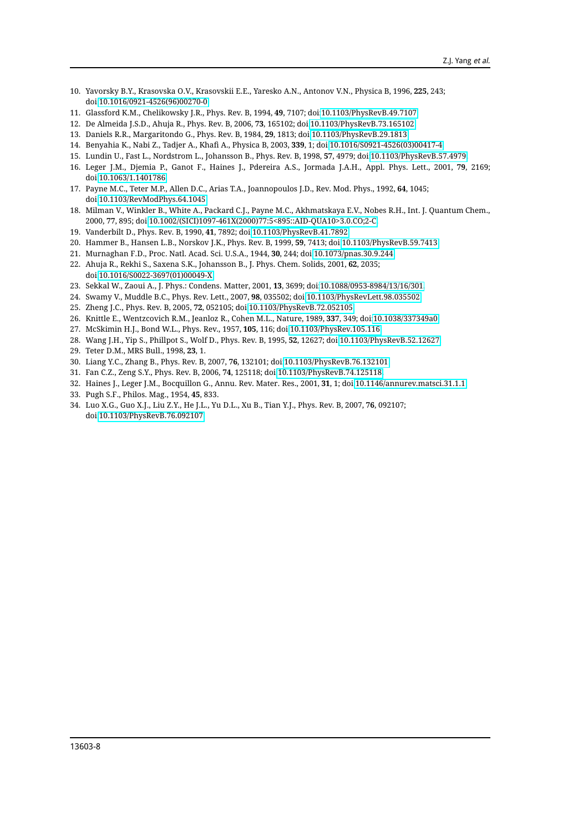- <span id="page-7-22"></span>10. Yavorsky B.Y., Krasovska O.V., Krasovskii E.E., Yaresko A.N., Antonov V.N., Physica B, 1996, **225**, 243; doi[:10.1016/0921-4526\(96\)00270-0.](http://dx.doi.org/10.1016/0921-4526(96)00270-0)
- <span id="page-7-0"></span>11. Glassford K.M., Chelikowsky J.R., Phys. Rev. B, 1994, **49**, 7107; doi[:10.1103/PhysRevB.49.7107.](http://dx.doi.org/10.1103/PhysRevB.49.7107)
- <span id="page-7-1"></span>12. De Almeida J.S.D., Ahuja R., Phys. Rev. B, 2006, **73**, 165102; doi[:10.1103/PhysRevB.73.165102.](http://dx.doi.org/10.1103/PhysRevB.73.165102)
- 13. Daniels R.R., Margaritondo G., Phys. Rev. B, 1984, **29**, 1813; doi[:10.1103/PhysRevB.29.1813.](http://dx.doi.org/10.1103/PhysRevB.29.1813)
- <span id="page-7-2"></span>14. Benyahia K., Nabi Z., Tadjer A., Khafi A., Physica B, 2003, **339**, 1; doi[:10.1016/S0921-4526\(03\)00417-4.](http://dx.doi.org/10.1016/S0921-4526(03)00417-4)
- <span id="page-7-3"></span>15. Lundin U., Fast L., Nordstrom L., Johansson B., Phys. Rev. B, 1998, **57**, 4979; doi[:10.1103/PhysRevB.57.4979.](http://dx.doi.org/10.1103/PhysRevB.57.4979)
- <span id="page-7-4"></span>16. Leger J.M., Djemia P., Ganot F., Haines J., Pdereira A.S., Jormada J.A.H., Appl. Phys. Lett., 2001, **79**, 2169; doi[:10.1063/1.1401786.](http://dx.doi.org/10.1063/1.1401786)
- <span id="page-7-5"></span>17. Payne M.C., Teter M.P., Allen D.C., Arias T.A., Joannopoulos J.D., Rev. Mod. Phys., 1992, **64**, 1045; doi[:10.1103/RevModPhys.64.1045.](http://dx.doi.org/10.1103/RevModPhys.64.1045)
- <span id="page-7-6"></span>18. Milman V., Winkler B., White A., Packard C.J., Payne M.C., Akhmatskaya E.V., Nobes R.H., Int. J. Quantum Chem., 2000, **77**, 895; doi[:10.1002/\(SICI\)1097-461X\(2000\)77:5<895::AID-QUA10>3.0.CO;2-C.](http://dx.doi.org/10.1002/(SICI)1097-461X(2000)77:5%3C895::AID-QUA10%3E3.0.CO;2-C)
- <span id="page-7-7"></span>19. Vanderbilt D., Phys. Rev. B, 1990, **41**, 7892; doi[:10.1103/PhysRevB.41.7892.](http://dx.doi.org/10.1103/PhysRevB.41.7892)
- <span id="page-7-8"></span>20. Hammer B., Hansen L.B., Norskov J.K., Phys. Rev. B, 1999, **59**, 7413; doi[:10.1103/PhysRevB.59.7413.](http://dx.doi.org/10.1103/PhysRevB.59.7413)
- <span id="page-7-9"></span>21. Murnaghan F.D., Proc. Natl. Acad. Sci. U.S.A., 1944, **30**, 244; doi[:10.1073/pnas.30.9.244.](http://dx.doi.org/10.1073/pnas.30.9.244)
- <span id="page-7-10"></span>22. Ahuja R., Rekhi S., Saxena S.K., Johansson B., J. Phys. Chem. Solids, 2001, **62**, 2035; doi[:10.1016/S0022-3697\(01\)00049-X.](http://dx.doi.org/10.1016/S0022-3697(01)00049-X)
- <span id="page-7-11"></span>23. Sekkal W., Zaoui A., J. Phys.: Condens. Matter, 2001, **13**, 3699; doi[:10.1088/0953-8984/13/16/301.](http://dx.doi.org/10.1088/0953-8984/13/16/301)
- <span id="page-7-12"></span>24. Swamy V., Muddle B.C., Phys. Rev. Lett., 2007, **98**, 035502; doi[:10.1103/PhysRevLett.98.035502.](http://dx.doi.org/10.1103/PhysRevLett.98.035502)
- <span id="page-7-13"></span>25. Zheng J.C., Phys. Rev. B, 2005, **72**, 052105; doi[:10.1103/PhysRevB.72.052105.](http://dx.doi.org/10.1103/PhysRevB.72.052105)
- 26. Knittle E., Wentzcovich R.M., Jeanloz R., Cohen M.L., Nature, 1989, **337**, 349; doi[:10.1038/337349a0.](http://dx.doi.org/10.1038/337349a0)
- <span id="page-7-14"></span>27. McSkimin H.J., Bond W.L., Phys. Rev., 1957, **105**, 116; doi[:10.1103/PhysRev.105.116.](http://dx.doi.org/10.1103/PhysRev.105.116)
- <span id="page-7-15"></span>28. Wang J.H., Yip S., Phillpot S., Wolf D., Phys. Rev. B, 1995, **52**, 12627; doi[:10.1103/PhysRevB.52.12627.](http://dx.doi.org/10.1103/PhysRevB.52.12627)
- <span id="page-7-16"></span>29. Teter D.M., MRS Bull., 1998, **23**, 1.
- <span id="page-7-17"></span>30. Liang Y.C., Zhang B., Phys. Rev. B, 2007, **76**, 132101; doi[:10.1103/PhysRevB.76.132101.](http://dx.doi.org/10.1103/PhysRevB.76.132101)
- <span id="page-7-18"></span>31. Fan C.Z., Zeng S.Y., Phys. Rev. B, 2006, **74**, 125118; doi[:10.1103/PhysRevB.74.125118.](http://dx.doi.org/10.1103/PhysRevB.74.125118)
- <span id="page-7-19"></span>32. Haines J., Leger J.M., Bocquillon G., Annu. Rev. Mater. Res., 2001, **31**, 1; doi[:10.1146/annurev.matsci.31.1.1.](http://dx.doi.org/10.1146/annurev.matsci.31.1.1)
- <span id="page-7-20"></span>33. Pugh S.F., Philos. Mag., 1954, **45**, 833.
- <span id="page-7-21"></span>34. Luo X.G., Guo X.J., Liu Z.Y., He J.L., Yu D.L., Xu B., Tian Y.J., Phys. Rev. B, 2007, **76**, 092107; doi[:10.1103/PhysRevB.76.092107.](http://dx.doi.org/10.1103/PhysRevB.76.092107)